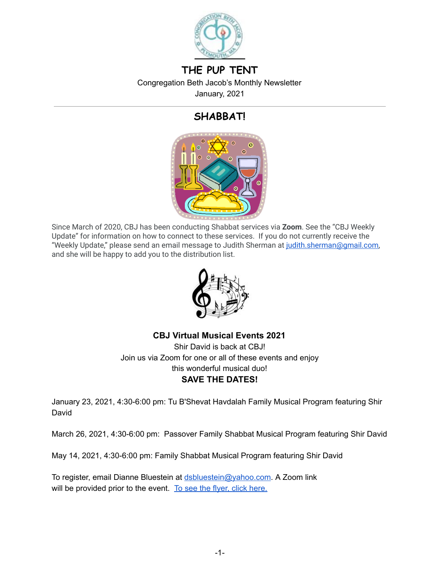

# **THE PUP TENT**

Congregation Beth Jacob's Monthly Newsletter January, 2021

# **SHABBAT!**



Since March of 2020, CBJ has been conducting Shabbat services via **Zoom** . See the "CBJ Weekly Update" for information on how to connect to these services. If you do not currently receive the "Weekly Update," please send an email message to Judith Sherman at judith.sherman@gmail.com, and she will be happy to add you to the distribution list.



**CBJ Virtual Musical Events 2021** 

Shir David is back at CBJ! Join us via Zoom for one or all of these events and enjoy this wonderful musical duo! **SAVE THE DATES!** 

January 23, 2021, 4:30-6:00 pm: Tu B'Shevat Havdalah Family Musical Program featuring Shir David

March 26, 2021, 4:30-6:00 pm: Passover Family Shabbat Musical Program featuring Shir David

May 14, 2021, 4:30-6:00 pm: Family Shabbat Musical Program featuring Shir David

To register, email Dianne Bluestein at [dsbluestein@yahoo.com](mailto:dsbluestein@yahoo.com). A Zoom link will be provided prior to the event. To see the flyer, click [here.](https://drive.google.com/file/d/1Td6o4Oq2omVJSilJ6Q7x4iLe_vK2MrXz/view?usp=sharing)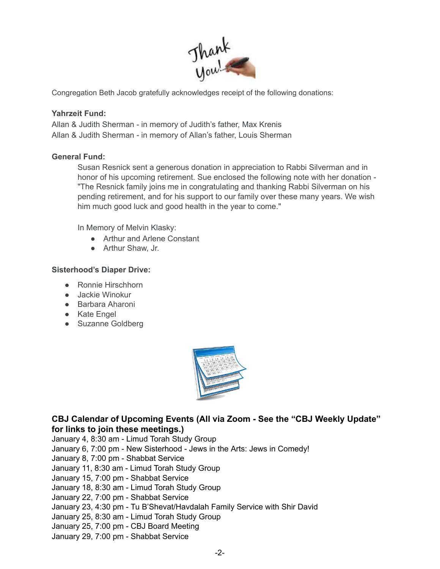

Congregation Beth Jacob gratefully acknowledges receipt of the following donations:

#### **Yahrzeit Fund:**

Allan & Judith Sherman - in memory of Judith's father, Max Krenis Allan & Judith Sherman - in memory of Allan's father, Louis Sherman

#### **General Fund:**

Susan Resnick sent a generous donation in appreciation to Rabbi Silverman and in honor of his upcoming retirement. Sue enclosed the following note with her donation - "The Resnick family joins me in congratulating and thanking Rabbi Silverman on his pending retirement, and for his support to our family over these many years. We wish him much good luck and good health in the year to come."

In Memory of Melvin Klasky:

- Arthur and Arlene Constant
- Arthur Shaw, Jr.

#### **Sisterhood's Diaper Drive:**

- Ronnie Hirschhorn
- Jackie Winokur
- Barbara Aharoni
- Kate Engel
- Suzanne Goldberg



### **CBJ Calendar of Upcoming Events (All via Zoom - See the "CBJ Weekly Update" for links to join these meetings.)**

January 4, 8:30 am - Limud Torah Study Group January 6, 7:00 pm - New Sisterhood - Jews in the Arts: Jews in Comedy! January 8, 7:00 pm - Shabbat Service January 11, 8:30 am - Limud Torah Study Group January 15, 7:00 pm - Shabbat Service January 18, 8:30 am - Limud Torah Study Group January 22, 7:00 pm - Shabbat Service January 23, 4:30 pm - Tu B'Shevat/Havdalah Family Service with Shir David January 25, 8:30 am - Limud Torah Study Group January 25, 7:00 pm - CBJ Board Meeting January 29, 7:00 pm - Shabbat Service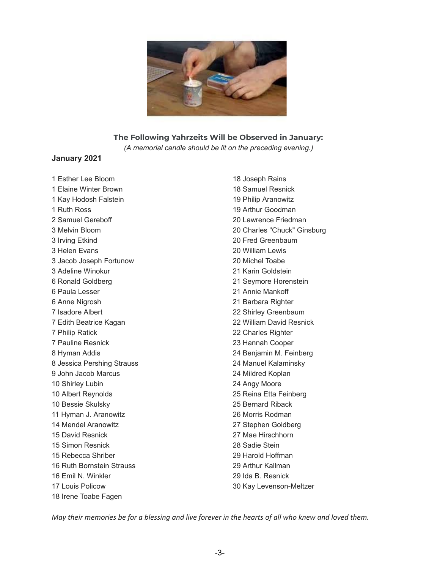

#### **The Following Yahrzeits Will be Observed in January:**

*(A memorial candle should be lit on the preceding evening.)*

#### **January 2021**

 Esther Lee Bloom Elaine Winter Brown Kay Hodosh Falstein Ruth Ross Samuel Gereboff Melvin Bloom Irving Etkind Helen Evans Jacob Joseph Fortunow Adeline Winokur Ronald Goldberg Paula Lesser Anne Nigrosh Isadore Albert Edith Beatrice Kagan Philip Ratick Pauline Resnick Hyman Addis Jessica Pershing Strauss John Jacob Marcus Shirley Lubin Albert Reynolds Bessie Skulsky Hyman J. Aranowitz Mendel Aranowitz David Resnick Simon Resnick Rebecca Shriber Ruth Bornstein Strauss Emil N. Winkler Louis Policow Irene Toabe Fagen

 Joseph Rains Samuel Resnick Philip Aranowitz Arthur Goodman Lawrence Friedman Charles "Chuck" Ginsburg Fred Greenbaum William Lewis Michel Toabe Karin Goldstein Seymore Horenstein Annie Mankoff Barbara Righter Shirley Greenbaum William David Resnick Charles Righter Hannah Cooper Benjamin M. Feinberg Manuel Kalaminsky Mildred Koplan Angy Moore Reina Etta Feinberg Bernard Riback Morris Rodman Stephen Goldberg Mae Hirschhorn Sadie Stein Harold Hoffman Arthur Kallman Ida B. Resnick Kay Levenson-Meltzer

May their memories be for a blessing and live forever in the hearts of all who knew and loved them.

-3-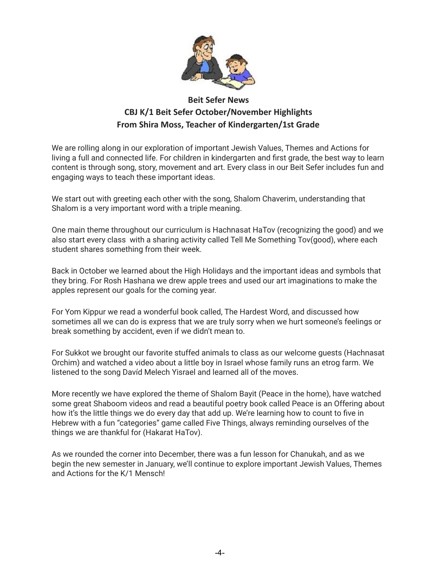

## **Beit Sefer News CBJ K/1 Beit Sefer October/November Highlights From Shira Moss, Teacher of Kindergarten/1st Grade**

We are rolling along in our exploration of important Jewish Values, Themes and Actions for living a full and connected life. For children in kindergarten and first grade, the best way to learn content is through song, story, movement and art. Every class in our Beit Sefer includes fun and engaging ways to teach these important ideas.

We start out with greeting each other with the song, Shalom Chaverim, understanding that Shalom is a very important word with a triple meaning.

One main theme throughout our curriculum is Hachnasat HaTov (recognizing the good) and we also start every class with a sharing activity called Tell Me Something Tov(good), where each student shares something from their week.

Back in October we learned about the High Holidays and the important ideas and symbols that they bring. For Rosh Hashana we drew apple trees and used our art imaginations to make the apples represent our goals for the coming year.

For Yom Kippur we read a wonderful book called, The Hardest Word, and discussed how sometimes all we can do is express that we are truly sorry when we hurt someone's feelings or break something by accident, even if we didn't mean to.

For Sukkot we brought our favorite stuffed animals to class as our welcome guests (Hachnasat Orchim) and watched a video about a little boy in Israel whose family runs an etrog farm. We listened to the song Davíd Melech Yisrael and learned all of the moves.

More recently we have explored the theme of Shalom Bayit (Peace in the home), have watched some great Shaboom videos and read a beautiful poetry book called Peace is an Offering about how it's the little things we do every day that add up. We're learning how to count to five in Hebrew with a fun "categories" game called Five Things, always reminding ourselves of the things we are thankful for (Hakarat HaTov).

As we rounded the corner into December, there was a fun lesson for Chanukah, and as we begin the new semester in January, we'll continue to explore important Jewish Values, Themes and Actions for the K/1 Mensch!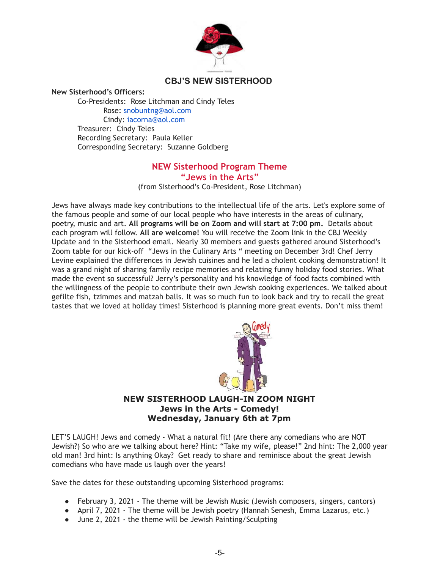

### **CBJ'S NEW SISTERHOOD**

**New Sisterhood's Officers:** 

Co-Presidents: Rose Litchman and Cindy Teles Rose: [snobuntng@aol.com](mailto:snobuntng@aol.com) Cindy: [iacorna@aol.com](mailto:iacorna@aol.com) Treasurer: Cindy Teles Recording Secretary: Paula Keller Corresponding Secretary: Suzanne Goldberg

#### **NEW Sisterhood Program Theme "Jews in the Arts"**

(from Sisterhood's Co-President, Rose Litchman)

Jews have always made key contributions to the intellectual life of the arts. Let's explore some of the famous people and some of our local people who have interests in the areas of culinary, poetry, music and art. **All programs will be on Zoom and will start at 7:00 pm.** Details about each program will follow. **All are welcome!** You will receive the Zoom link in the CBJ Weekly Update and in the Sisterhood email. Nearly 30 members and guests gathered around Sisterhood's Zoom table for our kick-off "Jews in the Culinary Arts " meeting on December 3rd! Chef Jerry Levine explained the differences in Jewish cuisines and he led a cholent cooking demonstration! It was a grand night of sharing family recipe memories and relating funny holiday food stories. What made the event so successful? Jerry's personality and his knowledge of food facts combined with the willingness of the people to contribute their own Jewish cooking experiences. We talked about gefilte fish, tzimmes and matzah balls. It was so much fun to look back and try to recall the great tastes that we loved at holiday times! Sisterhood is planning more great events. Don't miss them!



### **NEW SISTERHOOD LAUGH-IN ZOOM NIGHT Jews in the Arts - Comedy! Wednesday, January 6th at 7pm**

LET'S LAUGH! Jews and comedy - What a natural fit! (Are there any comedians who are NOT Jewish?) So who are we talking about here? Hint: "Take my wife, please!" 2nd hint: The 2,000 year old man! 3rd hint: Is anything Okay? Get ready to share and reminisce about the great Jewish comedians who have made us laugh over the years!

Save the dates for these outstanding upcoming Sisterhood programs:

- February 3, 2021 The theme will be Jewish Music (Jewish composers, singers, cantors)
- April 7, 2021 The theme will be Jewish poetry (Hannah Senesh, Emma Lazarus, etc.)
- June 2, 2021 the theme will be Jewish Painting/Sculpting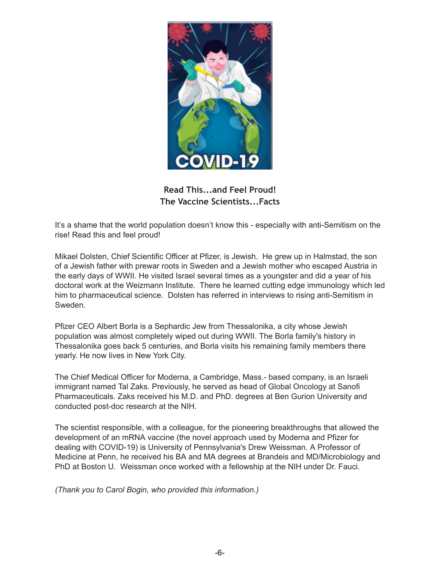

**Read This...and Feel Proud! The Vaccine Scientists...Facts** 

It's a shame that the world population doesn't know this - especially with anti-Semitism on the rise! Read this and feel proud!

Mikael Dolsten, Chief Scientific Officer at Pfizer, is Jewish. He grew up in Halmstad, the son of a Jewish father with prewar roots in Sweden and a Jewish mother who escaped Austria in the early days of WWII. He visited Israel several times as a youngster and did a year of his doctoral work at the Weizmann Institute. There he learned cutting edge immunology which led him to pharmaceutical science. Dolsten has referred in interviews to rising anti-Semitism in Sweden.

Pfizer CEO Albert Borla is a Sephardic Jew from Thessalonika, a city whose Jewish population was almost completely wiped out during WWII. The Borla family's history in Thessalonika goes back 5 centuries, and Borla visits his remaining family members there yearly. He now lives in New York City.

The Chief Medical Officer for Moderna, a Cambridge, Mass.- based company, is an Israeli immigrant named Tal Zaks. Previously, he served as head of Global Oncology at Sanofi Pharmaceuticals. Zaks received his M.D. and PhD. degrees at Ben Gurion University and conducted post-doc research at the NIH.

The scientist responsible, with a colleague, for the pioneering breakthroughs that allowed the development of an mRNA vaccine (the novel approach used by Moderna and Pfizer for dealing with COVID-19) is University of Pennsylvania's Drew Weissman. A Professor of Medicine at Penn, he received his BA and MA degrees at Brandeis and MD/Microbiology and PhD at Boston U. Weissman once worked with a fellowship at the NIH under Dr. Fauci.

*(Thank you to Carol Bogin, who provided this information.)*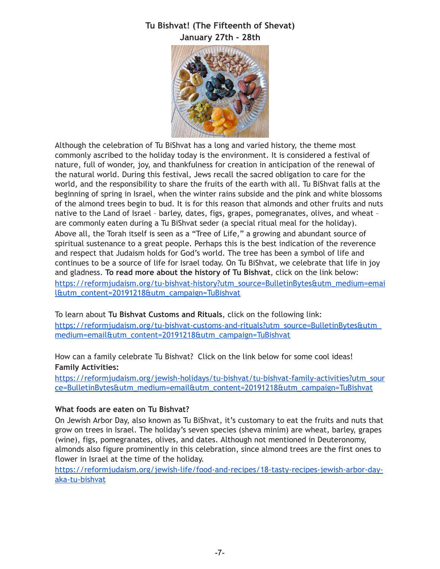## **Tu Bishvat! (The Fifteenth of Shevat) January 27th - 28th**



Although the celebration of Tu BiShvat has a long and varied history, the theme most commonly ascribed to the holiday today is the environment. It is considered a festival of nature, full of wonder, joy, and thankfulness for creation in anticipation of the renewal of the natural world. During this festival, Jews recall the sacred obligation to care for the world, and the responsibility to share the fruits of the earth with all. Tu BiShvat falls at the beginning of spring in Israel, when the winter rains subside and the pink and white blossoms of the almond trees begin to bud. It is for this reason that almonds and other fruits and nuts native to the Land of Israel – barley, dates, figs, grapes, pomegranates, olives, and wheat – are commonly eaten during a Tu BiShvat seder (a special ritual meal for the holiday). Above all, the Torah itself is seen as a "Tree of Life," a growing and abundant source of spiritual sustenance to a great people. Perhaps this is the best indication of the reverence and respect that Judaism holds for God's world. The tree has been a symbol of life and continues to be a source of life for Israel today. On Tu BiShvat, we celebrate that life in joy and gladness. **To read more about the history of Tu Bishvat**, click on the link below: [https://reformjudaism.org/tu-bishvat-history?utm\\_source=BulletinBytes&utm\\_medium=emai](https://reformjudaism.org/tu-bishvat-history?utm_source=BulletinBytes&utm_medium=email&utm_content=20191218&utm_campaign=TuBishvat) [l&utm\\_content=20191218&utm\\_campaign=TuBishvat](https://reformjudaism.org/tu-bishvat-history?utm_source=BulletinBytes&utm_medium=email&utm_content=20191218&utm_campaign=TuBishvat)

To learn about **Tu Bishvat Customs and Rituals**, click on the following link:

[https://reformjudaism.org/tu-bishvat-customs-and-rituals?utm\\_source=BulletinBytes&utm\\_](https://reformjudaism.org/tu-bishvat-customs-and-rituals?utm_source=BulletinBytes&utm_medium=email&utm_content=20191218&utm_campaign=TuBishvat) [medium=email&utm\\_content=20191218&utm\\_campaign=TuBishvat](https://reformjudaism.org/tu-bishvat-customs-and-rituals?utm_source=BulletinBytes&utm_medium=email&utm_content=20191218&utm_campaign=TuBishvat)

How can a family celebrate Tu Bishvat? Click on the link below for some cool ideas! **Family Activities:**

[https://reformjudaism.org/jewish-holidays/tu-bishvat/tu-bishvat-family-activities?utm\\_sour](https://reformjudaism.org/jewish-holidays/tu-bishvat/tu-bishvat-family-activities?utm_source=BulletinBytes&utm_medium=email&utm_content=20191218&utm_campaign=TuBishvat) [ce=BulletinBytes&utm\\_medium=email&utm\\_content=20191218&utm\\_campaign=TuBishvat](https://reformjudaism.org/jewish-holidays/tu-bishvat/tu-bishvat-family-activities?utm_source=BulletinBytes&utm_medium=email&utm_content=20191218&utm_campaign=TuBishvat)

### **What foods are eaten on Tu Bishvat?**

On Jewish Arbor Day, also known as Tu BiShvat, it's customary to eat the fruits and nuts that grow on trees in Israel. The holiday's seven species (sheva minim) are wheat, barley, grapes (wine), figs, pomegranates, olives, and dates. Although not mentioned in Deuteronomy, almonds also figure prominently in this celebration, since almond trees are the first ones to flower in Israel at the time of the holiday.

[https://reformjudaism.org/jewish-life/food-and-recipes/18-tasty-recipes-jewish-arbor-day](https://reformjudaism.org/jewish-life/food-and-recipes/18-tasty-recipes-jewish-arbor-day-aka-tu-bishvat)[aka-tu-bishvat](https://reformjudaism.org/jewish-life/food-and-recipes/18-tasty-recipes-jewish-arbor-day-aka-tu-bishvat)